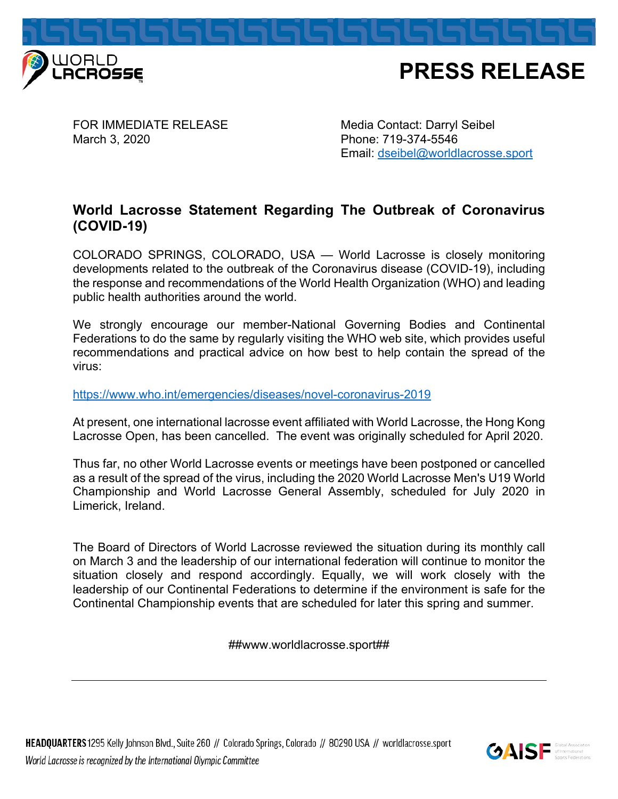

FOR IMMEDIATE RELEASE Media Contact: Darryl Seibel March 3, 2020 **Phone: 719-374-5546** 

Email: dseibel@worldlacrosse.sport

## **World Lacrosse Statement Regarding The Outbreak of Coronavirus (COVID-19)**

COLORADO SPRINGS, COLORADO, USA — World Lacrosse is closely monitoring developments related to the outbreak of the Coronavirus disease (COVID-19), including the response and recommendations of the World Health Organization (WHO) and leading public health authorities around the world.

We strongly encourage our member-National Governing Bodies and Continental Federations to do the same by regularly visiting the WHO web site, which provides useful recommendations and practical advice on how best to help contain the spread of the virus:

## https://www.who.int/emergencies/diseases/novel-coronavirus-2019

At present, one international lacrosse event affiliated with World Lacrosse, the Hong Kong Lacrosse Open, has been cancelled. The event was originally scheduled for April 2020.

Thus far, no other World Lacrosse events or meetings have been postponed or cancelled as a result of the spread of the virus, including the 2020 World Lacrosse Men's U19 World Championship and World Lacrosse General Assembly, scheduled for July 2020 in Limerick, Ireland.

The Board of Directors of World Lacrosse reviewed the situation during its monthly call on March 3 and the leadership of our international federation will continue to monitor the situation closely and respond accordingly. Equally, we will work closely with the leadership of our Continental Federations to determine if the environment is safe for the Continental Championship events that are scheduled for later this spring and summer.

##www.worldlacrosse.sport##